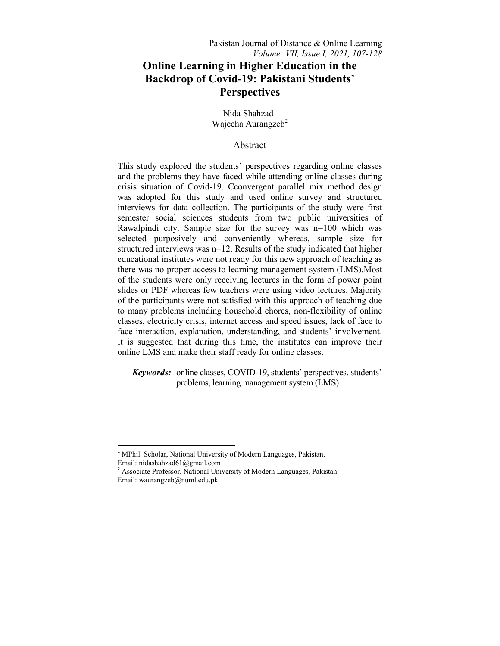# **Online Learning in Higher Education in the Backdrop of Covid-19: Pakistani Students' Perspectives**

Nida Shahzad<sup>1</sup> Wajeeha Aurangzeb<sup>2</sup>

# Abstract

This study explored the students' perspectives regarding online classes and the problems they have faced while attending online classes during crisis situation of Covid-19. Cconvergent parallel mix method design was adopted for this study and used online survey and structured interviews for data collection. The participants of the study were first semester social sciences students from two public universities of Rawalpindi city. Sample size for the survey was n=100 which was selected purposively and conveniently whereas, sample size for structured interviews was n=12. Results of the study indicated that higher educational institutes were not ready for this new approach of teaching as there was no proper access to learning management system (LMS).Most of the students were only receiving lectures in the form of power point slides or PDF whereas few teachers were using video lectures. Majority of the participants were not satisfied with this approach of teaching due to many problems including household chores, non-flexibility of online classes, electricity crisis, internet access and speed issues, lack of face to face interaction, explanation, understanding, and students' involvement. It is suggested that during this time, the institutes can improve their online LMS and make their staff ready for online classes.

 *Keywords:* online classes, COVID-19, students' perspectives, students' problems, learning management system (LMS)

 $\overline{a}$ 

<sup>&</sup>lt;sup>1</sup> MPhil. Scholar, National University of Modern Languages, Pakistan. Email: nidashahzad61@gmail.com

<sup>&</sup>lt;sup>2</sup> Associate Professor, National University of Modern Languages, Pakistan. Email: waurangzeb@numl.edu.pk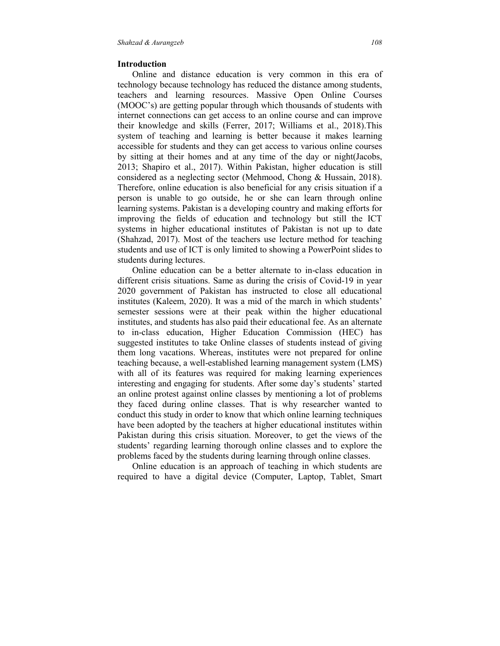#### **Introduction**

Online and distance education is very common in this era of technology because technology has reduced the distance among students, teachers and learning resources. Massive Open Online Courses (MOOC's) are getting popular through which thousands of students with internet connections can get access to an online course and can improve their knowledge and skills (Ferrer, 2017; Williams et al., 2018).This system of teaching and learning is better because it makes learning accessible for students and they can get access to various online courses by sitting at their homes and at any time of the day or night(Jacobs, 2013; Shapiro et al., 2017). Within Pakistan, higher education is still considered as a neglecting sector (Mehmood, Chong & Hussain, 2018). Therefore, online education is also beneficial for any crisis situation if a person is unable to go outside, he or she can learn through online learning systems. Pakistan is a developing country and making efforts for improving the fields of education and technology but still the ICT systems in higher educational institutes of Pakistan is not up to date (Shahzad, 2017). Most of the teachers use lecture method for teaching students and use of ICT is only limited to showing a PowerPoint slides to students during lectures.

Online education can be a better alternate to in-class education in different crisis situations. Same as during the crisis of Covid-19 in year 2020 government of Pakistan has instructed to close all educational institutes (Kaleem, 2020). It was a mid of the march in which students' semester sessions were at their peak within the higher educational institutes, and students has also paid their educational fee. As an alternate to in-class education, Higher Education Commission (HEC) has suggested institutes to take Online classes of students instead of giving them long vacations. Whereas, institutes were not prepared for online teaching because, a well-established learning management system (LMS) with all of its features was required for making learning experiences interesting and engaging for students. After some day's students' started an online protest against online classes by mentioning a lot of problems they faced during online classes. That is why researcher wanted to conduct this study in order to know that which online learning techniques have been adopted by the teachers at higher educational institutes within Pakistan during this crisis situation. Moreover, to get the views of the students' regarding learning thorough online classes and to explore the problems faced by the students during learning through online classes.

Online education is an approach of teaching in which students are required to have a digital device (Computer, Laptop, Tablet, Smart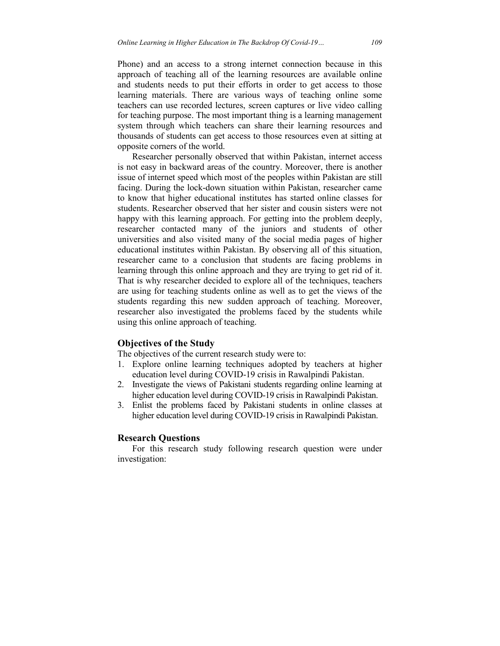Phone) and an access to a strong internet connection because in this approach of teaching all of the learning resources are available online and students needs to put their efforts in order to get access to those learning materials. There are various ways of teaching online some teachers can use recorded lectures, screen captures or live video calling for teaching purpose. The most important thing is a learning management system through which teachers can share their learning resources and thousands of students can get access to those resources even at sitting at opposite corners of the world.

Researcher personally observed that within Pakistan, internet access is not easy in backward areas of the country. Moreover, there is another issue of internet speed which most of the peoples within Pakistan are still facing. During the lock-down situation within Pakistan, researcher came to know that higher educational institutes has started online classes for students. Researcher observed that her sister and cousin sisters were not happy with this learning approach. For getting into the problem deeply, researcher contacted many of the juniors and students of other universities and also visited many of the social media pages of higher educational institutes within Pakistan. By observing all of this situation, researcher came to a conclusion that students are facing problems in learning through this online approach and they are trying to get rid of it. That is why researcher decided to explore all of the techniques, teachers are using for teaching students online as well as to get the views of the students regarding this new sudden approach of teaching. Moreover, researcher also investigated the problems faced by the students while using this online approach of teaching.

# **Objectives of the Study**

The objectives of the current research study were to:

- 1. Explore online learning techniques adopted by teachers at higher education level during COVID-19 crisis in Rawalpindi Pakistan.
- 2. Investigate the views of Pakistani students regarding online learning at higher education level during COVID-19 crisis in Rawalpindi Pakistan.
- 3. Enlist the problems faced by Pakistani students in online classes at higher education level during COVID-19 crisis in Rawalpindi Pakistan.

# **Research Questions**

For this research study following research question were under investigation: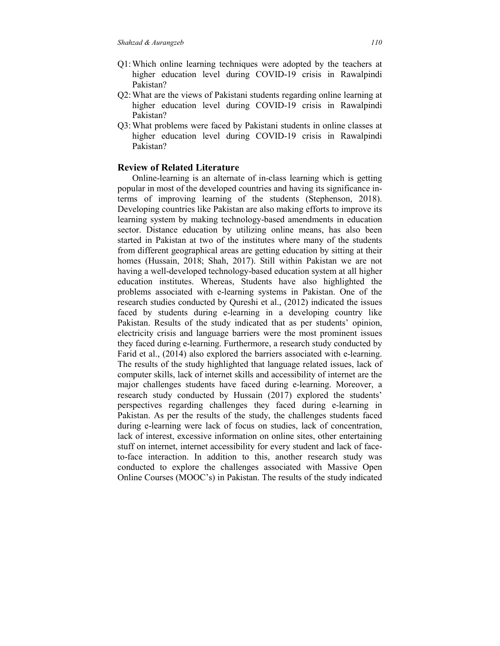- Q1: Which online learning techniques were adopted by the teachers at higher education level during COVID-19 crisis in Rawalpindi Pakistan?
- Q2: What are the views of Pakistani students regarding online learning at higher education level during COVID-19 crisis in Rawalpindi Pakistan?
- Q3: What problems were faced by Pakistani students in online classes at higher education level during COVID-19 crisis in Rawalpindi Pakistan?

# **Review of Related Literature**

Online-learning is an alternate of in-class learning which is getting popular in most of the developed countries and having its significance interms of improving learning of the students (Stephenson, 2018). Developing countries like Pakistan are also making efforts to improve its learning system by making technology-based amendments in education sector. Distance education by utilizing online means, has also been started in Pakistan at two of the institutes where many of the students from different geographical areas are getting education by sitting at their homes (Hussain, 2018; Shah, 2017). Still within Pakistan we are not having a well-developed technology-based education system at all higher education institutes. Whereas, Students have also highlighted the problems associated with e-learning systems in Pakistan. One of the research studies conducted by Qureshi et al., (2012) indicated the issues faced by students during e-learning in a developing country like Pakistan. Results of the study indicated that as per students' opinion, electricity crisis and language barriers were the most prominent issues they faced during e-learning. Furthermore, a research study conducted by Farid et al., (2014) also explored the barriers associated with e-learning. The results of the study highlighted that language related issues, lack of computer skills, lack of internet skills and accessibility of internet are the major challenges students have faced during e-learning. Moreover, a research study conducted by Hussain (2017) explored the students' perspectives regarding challenges they faced during e-learning in Pakistan. As per the results of the study, the challenges students faced during e-learning were lack of focus on studies, lack of concentration, lack of interest, excessive information on online sites, other entertaining stuff on internet, internet accessibility for every student and lack of faceto-face interaction. In addition to this, another research study was conducted to explore the challenges associated with Massive Open Online Courses (MOOC's) in Pakistan. The results of the study indicated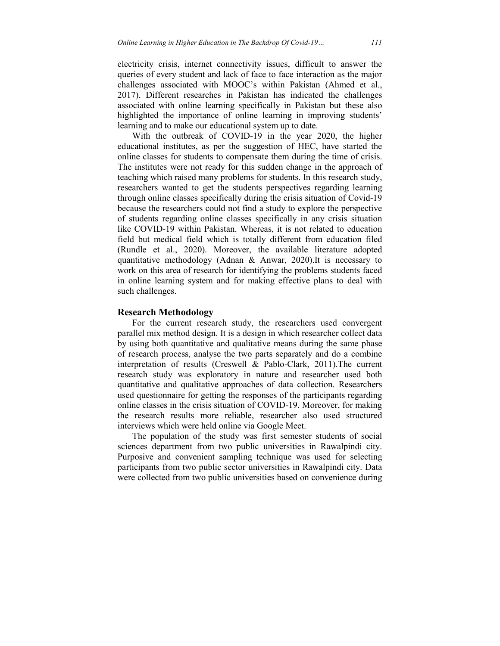electricity crisis, internet connectivity issues, difficult to answer the queries of every student and lack of face to face interaction as the major challenges associated with MOOC's within Pakistan (Ahmed et al., 2017). Different researches in Pakistan has indicated the challenges associated with online learning specifically in Pakistan but these also highlighted the importance of online learning in improving students' learning and to make our educational system up to date.

With the outbreak of COVID-19 in the year 2020, the higher educational institutes, as per the suggestion of HEC, have started the online classes for students to compensate them during the time of crisis. The institutes were not ready for this sudden change in the approach of teaching which raised many problems for students. In this research study, researchers wanted to get the students perspectives regarding learning through online classes specifically during the crisis situation of Covid-19 because the researchers could not find a study to explore the perspective of students regarding online classes specifically in any crisis situation like COVID-19 within Pakistan. Whereas, it is not related to education field but medical field which is totally different from education filed (Rundle et al., 2020). Moreover, the available literature adopted quantitative methodology (Adnan & Anwar, 2020).It is necessary to work on this area of research for identifying the problems students faced in online learning system and for making effective plans to deal with such challenges.

#### **Research Methodology**

For the current research study, the researchers used convergent parallel mix method design. It is a design in which researcher collect data by using both quantitative and qualitative means during the same phase of research process, analyse the two parts separately and do a combine interpretation of results (Creswell & Pablo-Clark, 2011).The current research study was exploratory in nature and researcher used both quantitative and qualitative approaches of data collection. Researchers used questionnaire for getting the responses of the participants regarding online classes in the crisis situation of COVID-19. Moreover, for making the research results more reliable, researcher also used structured interviews which were held online via Google Meet.

The population of the study was first semester students of social sciences department from two public universities in Rawalpindi city. Purposive and convenient sampling technique was used for selecting participants from two public sector universities in Rawalpindi city. Data were collected from two public universities based on convenience during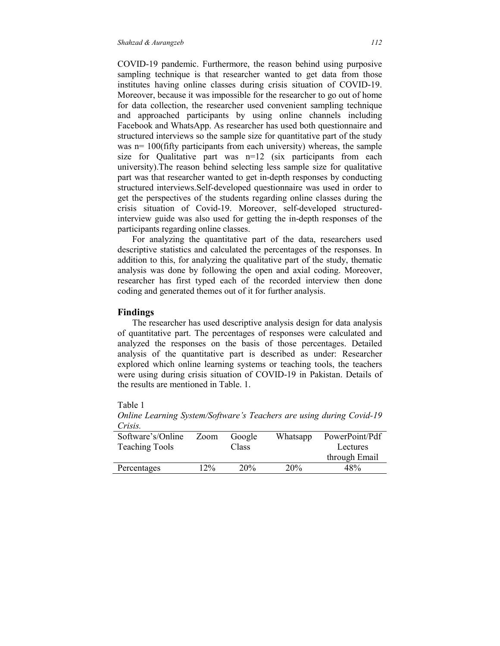COVID-19 pandemic. Furthermore, the reason behind using purposive sampling technique is that researcher wanted to get data from those institutes having online classes during crisis situation of COVID-19. Moreover, because it was impossible for the researcher to go out of home for data collection, the researcher used convenient sampling technique and approached participants by using online channels including Facebook and WhatsApp. As researcher has used both questionnaire and structured interviews so the sample size for quantitative part of the study was n= 100(fifty participants from each university) whereas, the sample size for Qualitative part was  $n=12$  (six participants from each university).The reason behind selecting less sample size for qualitative part was that researcher wanted to get in-depth responses by conducting structured interviews.Self-developed questionnaire was used in order to get the perspectives of the students regarding online classes during the crisis situation of Covid-19. Moreover, self-developed structuredinterview guide was also used for getting the in-depth responses of the participants regarding online classes.

For analyzing the quantitative part of the data, researchers used descriptive statistics and calculated the percentages of the responses. In addition to this, for analyzing the qualitative part of the study, thematic analysis was done by following the open and axial coding. Moreover, researcher has first typed each of the recorded interview then done coding and generated themes out of it for further analysis.

#### **Findings**

The researcher has used descriptive analysis design for data analysis of quantitative part. The percentages of responses were calculated and analyzed the responses on the basis of those percentages. Detailed analysis of the quantitative part is described as under: Researcher explored which online learning systems or teaching tools, the teachers were using during crisis situation of COVID-19 in Pakistan. Details of the results are mentioned in Table. 1.

# Table 1

| <u>UNISIS.</u>        |      |        |          |                |
|-----------------------|------|--------|----------|----------------|
| Software's/Online     | Zoom | Google | Whatsapp | PowerPoint/Pdf |
| <b>Teaching Tools</b> |      | Class  |          | Lectures       |
|                       |      |        |          | through Email  |
| Percentages           | 12%  | 20%    | 20%      | 48%            |

*Online Learning System/Software's Teachers are using during Covid-19 Crisis.*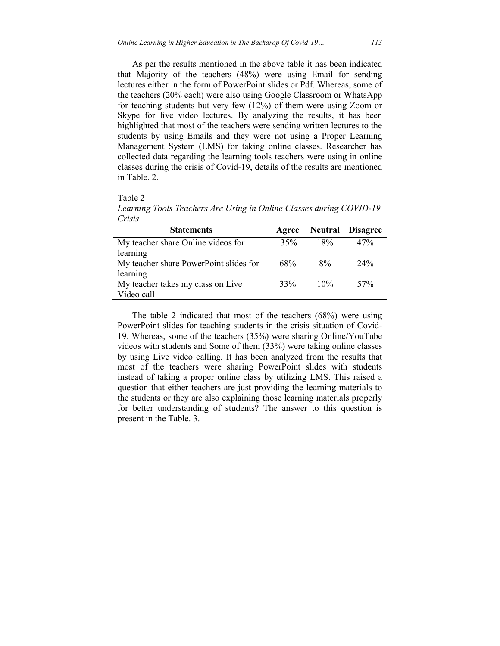As per the results mentioned in the above table it has been indicated that Majority of the teachers (48%) were using Email for sending lectures either in the form of PowerPoint slides or Pdf. Whereas, some of the teachers (20% each) were also using Google Classroom or WhatsApp for teaching students but very few (12%) of them were using Zoom or Skype for live video lectures. By analyzing the results, it has been highlighted that most of the teachers were sending written lectures to the students by using Emails and they were not using a Proper Learning Management System (LMS) for taking online classes. Researcher has collected data regarding the learning tools teachers were using in online classes during the crisis of Covid-19, details of the results are mentioned in Table. 2.

Table 2

*Learning Tools Teachers Are Using in Online Classes during COVID-19 Crisis* 

| <b>Statements</b>                      | Agree |        | <b>Neutral Disagree</b> |
|----------------------------------------|-------|--------|-------------------------|
| My teacher share Online videos for     | 35%   | 18%    | 47%                     |
| learning                               |       |        |                         |
| My teacher share PowerPoint slides for | 68%   | $8\%$  | 24%                     |
| learning                               |       |        |                         |
| My teacher takes my class on Live      | 33%   | $10\%$ | 57%                     |
| Video call                             |       |        |                         |

The table 2 indicated that most of the teachers (68%) were using PowerPoint slides for teaching students in the crisis situation of Covid-19. Whereas, some of the teachers (35%) were sharing Online/YouTube videos with students and Some of them (33%) were taking online classes by using Live video calling. It has been analyzed from the results that most of the teachers were sharing PowerPoint slides with students instead of taking a proper online class by utilizing LMS. This raised a question that either teachers are just providing the learning materials to the students or they are also explaining those learning materials properly for better understanding of students? The answer to this question is present in the Table. 3.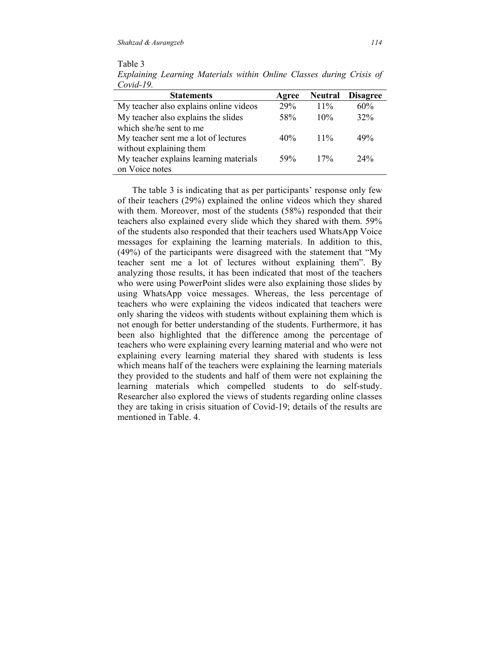Table 3 *Explaining Learning Materials within Online Classes during Crisis of Covid-19.* 

| Agree | <b>Neutral</b> | <b>Disagree</b> |
|-------|----------------|-----------------|
| 29%   | $11\%$         | 60%             |
| 58%   | 10%            | 32%             |
|       |                |                 |
| 40%   | $11\%$         | 49%             |
|       |                |                 |
| 59%   | 17%            | $24\%$          |
|       |                |                 |
|       |                |                 |

The table 3 is indicating that as per participants' response only few of their teachers (29%) explained the online videos which they shared with them. Moreover, most of the students (58%) responded that their teachers also explained every slide which they shared with them. 59% of the students also responded that their teachers used WhatsApp Voice messages for explaining the learning materials. In addition to this, (49%) of the participants were disagreed with the statement that "My teacher sent me a lot of lectures without explaining them". By analyzing those results, it has been indicated that most of the teachers who were using PowerPoint slides were also explaining those slides by using WhatsApp voice messages. Whereas, the less percentage of teachers who were explaining the videos indicated that teachers were only sharing the videos with students without explaining them which is not enough for better understanding of the students. Furthermore, it has been also highlighted that the difference among the percentage of teachers who were explaining every learning material and who were not explaining every learning material they shared with students is less which means half of the teachers were explaining the learning materials they provided to the students and half of them were not explaining the learning materials which compelled students to do self-study. Researcher also explored the views of students regarding online classes they are taking in crisis situation of Covid-19; details of the results are mentioned in Table. 4.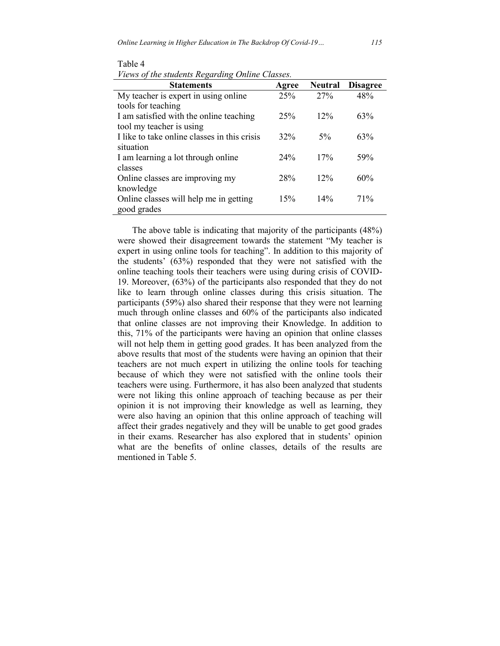| <b>Statements</b>                            | Agree | <b>Neutral</b> | <b>Disagree</b> |
|----------------------------------------------|-------|----------------|-----------------|
| My teacher is expert in using online         | 25%   | 27%            | 48%             |
| tools for teaching                           |       |                |                 |
| I am satisfied with the online teaching      | 25%   | 12%            | 63%             |
| tool my teacher is using                     |       |                |                 |
| I like to take online classes in this crisis | 32%   | $5\%$          | 63%             |
| situation                                    |       |                |                 |
| I am learning a lot through online           | 24%   | 17%            | 59%             |
| classes                                      |       |                |                 |
| Online classes are improving my              | 28%   | 12%            | 60%             |
| knowledge                                    |       |                |                 |
| Online classes will help me in getting       | 15%   | 14%            | 71%             |
| good grades                                  |       |                |                 |

The above table is indicating that majority of the participants (48%) were showed their disagreement towards the statement "My teacher is expert in using online tools for teaching". In addition to this majority of the students' (63%) responded that they were not satisfied with the online teaching tools their teachers were using during crisis of COVID-19. Moreover, (63%) of the participants also responded that they do not like to learn through online classes during this crisis situation. The participants (59%) also shared their response that they were not learning much through online classes and 60% of the participants also indicated that online classes are not improving their Knowledge. In addition to this, 71% of the participants were having an opinion that online classes will not help them in getting good grades. It has been analyzed from the above results that most of the students were having an opinion that their teachers are not much expert in utilizing the online tools for teaching because of which they were not satisfied with the online tools their teachers were using. Furthermore, it has also been analyzed that students were not liking this online approach of teaching because as per their opinion it is not improving their knowledge as well as learning, they were also having an opinion that this online approach of teaching will affect their grades negatively and they will be unable to get good grades in their exams. Researcher has also explored that in students' opinion what are the benefits of online classes, details of the results are mentioned in Table 5.

Table 4 *Views of the students Regarding Online Classes.*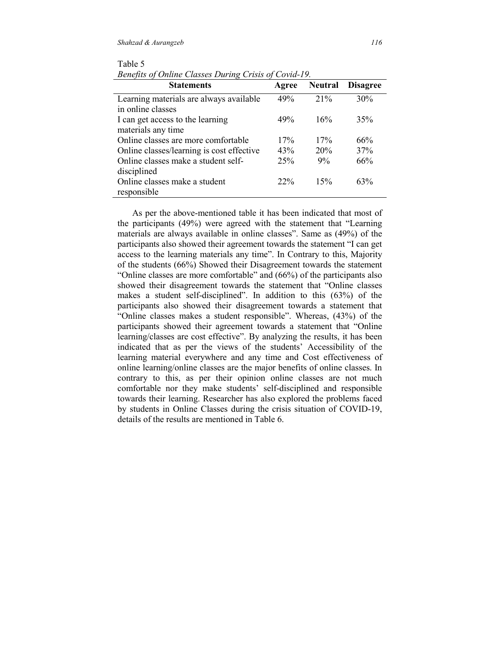| <b>Statements</b>                                     | Agree | <b>Neutral</b> | <b>Disagree</b> |
|-------------------------------------------------------|-------|----------------|-----------------|
| Learning materials are always available               | 49%   | 21%            | 30%             |
| in online classes<br>I can get access to the learning | 49%   | 16%            | 35%             |
| materials any time                                    |       |                |                 |
| Online classes are more comfortable                   | 17%   | 17%            | 66%             |
| Online classes/learning is cost effective             | 43%   | 20%            | 37%             |
| Online classes make a student self-                   | 25%   | 9%             | 66%             |
| disciplined                                           |       |                |                 |
| Online classes make a student                         | 22%   | 15%            | 63%             |
| responsible                                           |       |                |                 |

Table 5 *Benefits of Online Classes During Crisis of Covid-19.* 

As per the above-mentioned table it has been indicated that most of the participants (49%) were agreed with the statement that "Learning materials are always available in online classes". Same as (49%) of the participants also showed their agreement towards the statement "I can get access to the learning materials any time". In Contrary to this, Majority of the students (66%) Showed their Disagreement towards the statement "Online classes are more comfortable" and (66%) of the participants also showed their disagreement towards the statement that "Online classes makes a student self-disciplined". In addition to this (63%) of the participants also showed their disagreement towards a statement that "Online classes makes a student responsible". Whereas, (43%) of the participants showed their agreement towards a statement that "Online learning/classes are cost effective". By analyzing the results, it has been indicated that as per the views of the students' Accessibility of the learning material everywhere and any time and Cost effectiveness of online learning/online classes are the major benefits of online classes. In contrary to this, as per their opinion online classes are not much comfortable nor they make students' self-disciplined and responsible towards their learning. Researcher has also explored the problems faced by students in Online Classes during the crisis situation of COVID-19, details of the results are mentioned in Table 6.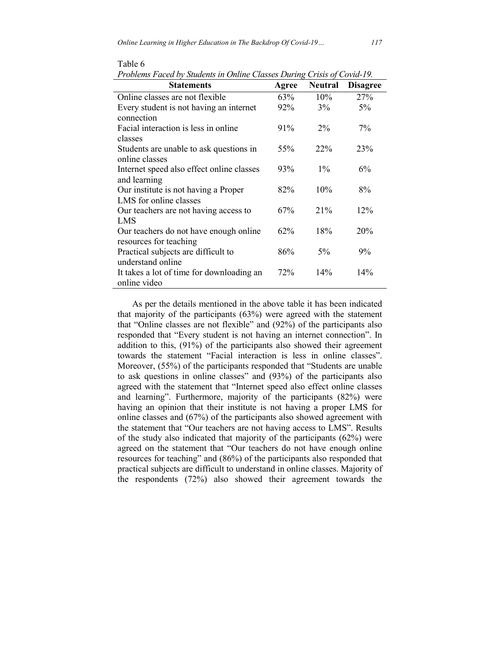| I roblems Pacea by Suddents in Ontine Classes During Crisis of Covia-19. |        |                |                 |
|--------------------------------------------------------------------------|--------|----------------|-----------------|
| <b>Statements</b>                                                        | Agree  | <b>Neutral</b> | <b>Disagree</b> |
| Online classes are not flexible                                          | 63%    | 10%            | 27%             |
| Every student is not having an internet<br>connection                    | 92%    | 3%             | 5%              |
| Facial interaction is less in online<br>classes                          | 91%    | $2\%$          | $7\%$           |
| Students are unable to ask questions in<br>online classes                | 55%    | 22%            | 23%             |
| Internet speed also effect online classes<br>and learning                | 93%    | $1\%$          | $6\%$           |
| Our institute is not having a Proper<br>LMS for online classes           | 82%    | 10%            | 8%              |
| Our teachers are not having access to<br>LMS                             | 67%    | 21%            | 12%             |
| Our teachers do not have enough online<br>resources for teaching         | $62\%$ | 18%            | 20%             |
| Practical subjects are difficult to<br>understand online                 | 86%    | 5%             | $9\%$           |
| It takes a lot of time for downloading an<br>online video                | 72%    | 14%            | 14%             |

Table 6

*Problems Faced by Students in Online Classes During Crisis of Covid-19.* 

As per the details mentioned in the above table it has been indicated that majority of the participants (63%) were agreed with the statement that "Online classes are not flexible" and (92%) of the participants also responded that "Every student is not having an internet connection". In addition to this, (91%) of the participants also showed their agreement towards the statement "Facial interaction is less in online classes". Moreover, (55%) of the participants responded that "Students are unable to ask questions in online classes" and (93%) of the participants also agreed with the statement that "Internet speed also effect online classes and learning". Furthermore, majority of the participants (82%) were having an opinion that their institute is not having a proper LMS for online classes and (67%) of the participants also showed agreement with the statement that "Our teachers are not having access to LMS". Results of the study also indicated that majority of the participants (62%) were agreed on the statement that "Our teachers do not have enough online resources for teaching" and (86%) of the participants also responded that practical subjects are difficult to understand in online classes. Majority of the respondents (72%) also showed their agreement towards the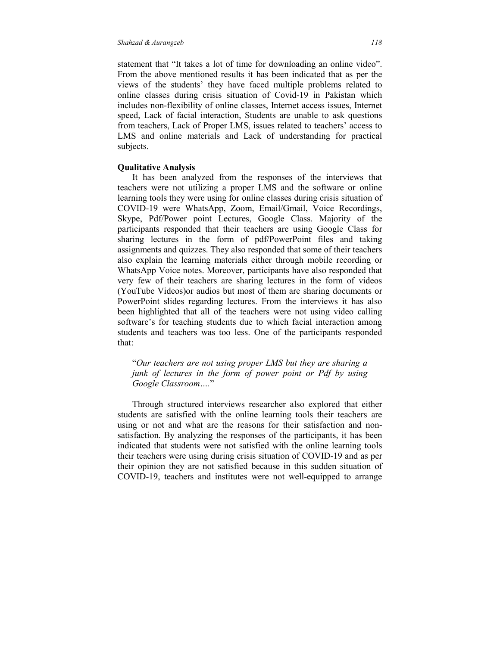statement that "It takes a lot of time for downloading an online video". From the above mentioned results it has been indicated that as per the views of the students' they have faced multiple problems related to online classes during crisis situation of Covid-19 in Pakistan which includes non-flexibility of online classes, Internet access issues, Internet speed, Lack of facial interaction, Students are unable to ask questions from teachers, Lack of Proper LMS, issues related to teachers' access to LMS and online materials and Lack of understanding for practical subjects.

#### **Qualitative Analysis**

It has been analyzed from the responses of the interviews that teachers were not utilizing a proper LMS and the software or online learning tools they were using for online classes during crisis situation of COVID-19 were WhatsApp, Zoom, Email/Gmail, Voice Recordings, Skype, Pdf/Power point Lectures, Google Class. Majority of the participants responded that their teachers are using Google Class for sharing lectures in the form of pdf/PowerPoint files and taking assignments and quizzes. They also responded that some of their teachers also explain the learning materials either through mobile recording or WhatsApp Voice notes. Moreover, participants have also responded that very few of their teachers are sharing lectures in the form of videos (YouTube Videos)or audios but most of them are sharing documents or PowerPoint slides regarding lectures. From the interviews it has also been highlighted that all of the teachers were not using video calling software's for teaching students due to which facial interaction among students and teachers was too less. One of the participants responded that:

"*Our teachers are not using proper LMS but they are sharing a junk of lectures in the form of power point or Pdf by using Google Classroom….*"

Through structured interviews researcher also explored that either students are satisfied with the online learning tools their teachers are using or not and what are the reasons for their satisfaction and nonsatisfaction. By analyzing the responses of the participants, it has been indicated that students were not satisfied with the online learning tools their teachers were using during crisis situation of COVID-19 and as per their opinion they are not satisfied because in this sudden situation of COVID-19, teachers and institutes were not well-equipped to arrange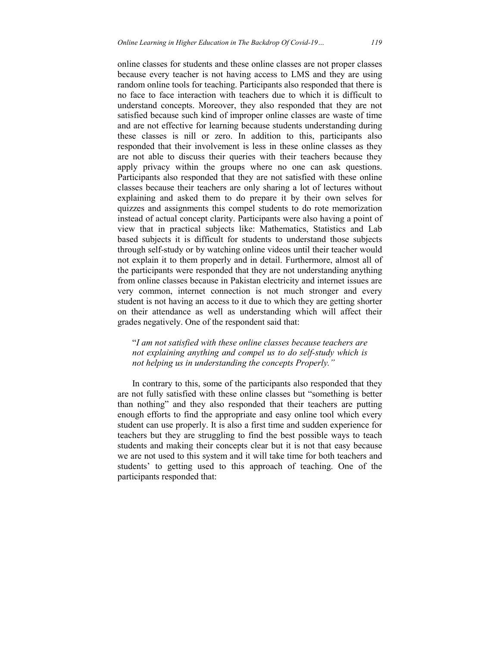online classes for students and these online classes are not proper classes because every teacher is not having access to LMS and they are using random online tools for teaching. Participants also responded that there is no face to face interaction with teachers due to which it is difficult to understand concepts. Moreover, they also responded that they are not satisfied because such kind of improper online classes are waste of time and are not effective for learning because students understanding during these classes is nill or zero. In addition to this, participants also responded that their involvement is less in these online classes as they are not able to discuss their queries with their teachers because they apply privacy within the groups where no one can ask questions. Participants also responded that they are not satisfied with these online classes because their teachers are only sharing a lot of lectures without explaining and asked them to do prepare it by their own selves for quizzes and assignments this compel students to do rote memorization instead of actual concept clarity. Participants were also having a point of view that in practical subjects like: Mathematics, Statistics and Lab based subjects it is difficult for students to understand those subjects through self-study or by watching online videos until their teacher would not explain it to them properly and in detail. Furthermore, almost all of the participants were responded that they are not understanding anything from online classes because in Pakistan electricity and internet issues are very common, internet connection is not much stronger and every student is not having an access to it due to which they are getting shorter on their attendance as well as understanding which will affect their grades negatively. One of the respondent said that:

"*I am not satisfied with these online classes because teachers are not explaining anything and compel us to do self-study which is not helping us in understanding the concepts Properly."* 

In contrary to this, some of the participants also responded that they are not fully satisfied with these online classes but "something is better than nothing" and they also responded that their teachers are putting enough efforts to find the appropriate and easy online tool which every student can use properly. It is also a first time and sudden experience for teachers but they are struggling to find the best possible ways to teach students and making their concepts clear but it is not that easy because we are not used to this system and it will take time for both teachers and students' to getting used to this approach of teaching. One of the participants responded that: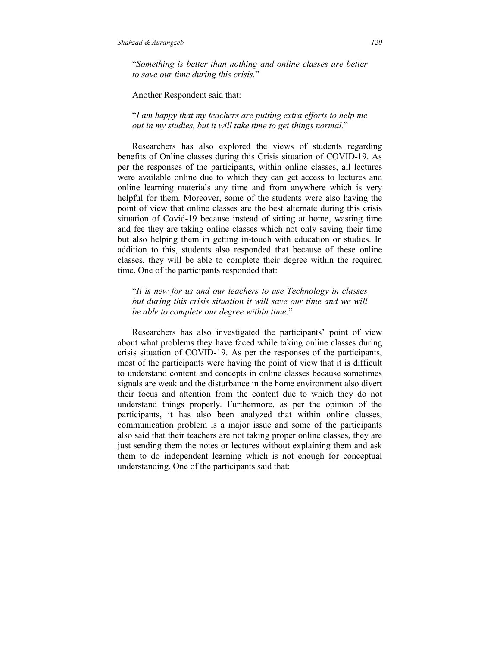"*Something is better than nothing and online classes are better to save our time during this crisis.*"

Another Respondent said that:

"*I am happy that my teachers are putting extra efforts to help me out in my studies, but it will take time to get things normal.*"

Researchers has also explored the views of students regarding benefits of Online classes during this Crisis situation of COVID-19. As per the responses of the participants, within online classes, all lectures were available online due to which they can get access to lectures and online learning materials any time and from anywhere which is very helpful for them. Moreover, some of the students were also having the point of view that online classes are the best alternate during this crisis situation of Covid-19 because instead of sitting at home, wasting time and fee they are taking online classes which not only saving their time but also helping them in getting in-touch with education or studies. In addition to this, students also responded that because of these online classes, they will be able to complete their degree within the required time. One of the participants responded that:

"*It is new for us and our teachers to use Technology in classes but during this crisis situation it will save our time and we will be able to complete our degree within time*."

Researchers has also investigated the participants' point of view about what problems they have faced while taking online classes during crisis situation of COVID-19. As per the responses of the participants, most of the participants were having the point of view that it is difficult to understand content and concepts in online classes because sometimes signals are weak and the disturbance in the home environment also divert their focus and attention from the content due to which they do not understand things properly. Furthermore, as per the opinion of the participants, it has also been analyzed that within online classes, communication problem is a major issue and some of the participants also said that their teachers are not taking proper online classes, they are just sending them the notes or lectures without explaining them and ask them to do independent learning which is not enough for conceptual understanding. One of the participants said that: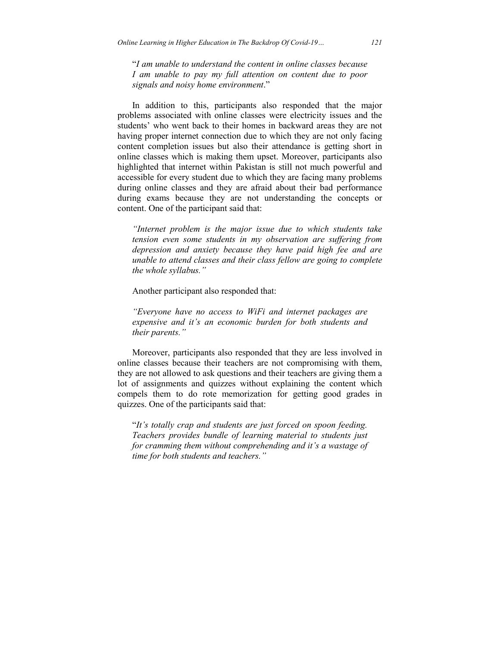"*I am unable to understand the content in online classes because I am unable to pay my full attention on content due to poor signals and noisy home environment*."

In addition to this, participants also responded that the major problems associated with online classes were electricity issues and the students' who went back to their homes in backward areas they are not having proper internet connection due to which they are not only facing content completion issues but also their attendance is getting short in online classes which is making them upset. Moreover, participants also highlighted that internet within Pakistan is still not much powerful and accessible for every student due to which they are facing many problems during online classes and they are afraid about their bad performance during exams because they are not understanding the concepts or content. One of the participant said that:

*"Internet problem is the major issue due to which students take tension even some students in my observation are suffering from depression and anxiety because they have paid high fee and are unable to attend classes and their class fellow are going to complete the whole syllabus."* 

Another participant also responded that:

*"Everyone have no access to WiFi and internet packages are expensive and it's an economic burden for both students and their parents."* 

Moreover, participants also responded that they are less involved in online classes because their teachers are not compromising with them, they are not allowed to ask questions and their teachers are giving them a lot of assignments and quizzes without explaining the content which compels them to do rote memorization for getting good grades in quizzes. One of the participants said that:

"*It's totally crap and students are just forced on spoon feeding. Teachers provides bundle of learning material to students just for cramming them without comprehending and it's a wastage of time for both students and teachers."*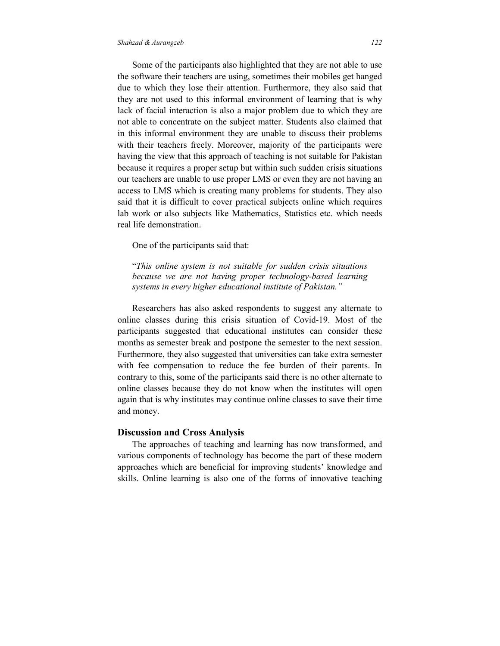#### *Shahzad & Aurangzeb 122*

Some of the participants also highlighted that they are not able to use the software their teachers are using, sometimes their mobiles get hanged due to which they lose their attention. Furthermore, they also said that they are not used to this informal environment of learning that is why lack of facial interaction is also a major problem due to which they are not able to concentrate on the subject matter. Students also claimed that in this informal environment they are unable to discuss their problems with their teachers freely. Moreover, majority of the participants were having the view that this approach of teaching is not suitable for Pakistan because it requires a proper setup but within such sudden crisis situations our teachers are unable to use proper LMS or even they are not having an access to LMS which is creating many problems for students. They also said that it is difficult to cover practical subjects online which requires lab work or also subjects like Mathematics, Statistics etc. which needs real life demonstration.

One of the participants said that:

"*This online system is not suitable for sudden crisis situations because we are not having proper technology-based learning systems in every higher educational institute of Pakistan."*

Researchers has also asked respondents to suggest any alternate to online classes during this crisis situation of Covid-19. Most of the participants suggested that educational institutes can consider these months as semester break and postpone the semester to the next session. Furthermore, they also suggested that universities can take extra semester with fee compensation to reduce the fee burden of their parents. In contrary to this, some of the participants said there is no other alternate to online classes because they do not know when the institutes will open again that is why institutes may continue online classes to save their time and money.

#### **Discussion and Cross Analysis**

The approaches of teaching and learning has now transformed, and various components of technology has become the part of these modern approaches which are beneficial for improving students' knowledge and skills. Online learning is also one of the forms of innovative teaching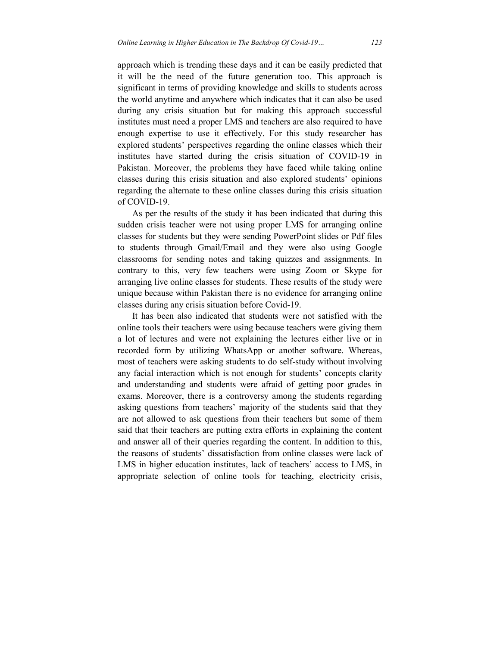approach which is trending these days and it can be easily predicted that it will be the need of the future generation too. This approach is significant in terms of providing knowledge and skills to students across the world anytime and anywhere which indicates that it can also be used during any crisis situation but for making this approach successful institutes must need a proper LMS and teachers are also required to have enough expertise to use it effectively. For this study researcher has explored students' perspectives regarding the online classes which their institutes have started during the crisis situation of COVID-19 in Pakistan. Moreover, the problems they have faced while taking online classes during this crisis situation and also explored students' opinions regarding the alternate to these online classes during this crisis situation of COVID-19.

As per the results of the study it has been indicated that during this sudden crisis teacher were not using proper LMS for arranging online classes for students but they were sending PowerPoint slides or Pdf files to students through Gmail/Email and they were also using Google classrooms for sending notes and taking quizzes and assignments. In contrary to this, very few teachers were using Zoom or Skype for arranging live online classes for students. These results of the study were unique because within Pakistan there is no evidence for arranging online classes during any crisis situation before Covid-19.

It has been also indicated that students were not satisfied with the online tools their teachers were using because teachers were giving them a lot of lectures and were not explaining the lectures either live or in recorded form by utilizing WhatsApp or another software. Whereas, most of teachers were asking students to do self-study without involving any facial interaction which is not enough for students' concepts clarity and understanding and students were afraid of getting poor grades in exams. Moreover, there is a controversy among the students regarding asking questions from teachers' majority of the students said that they are not allowed to ask questions from their teachers but some of them said that their teachers are putting extra efforts in explaining the content and answer all of their queries regarding the content. In addition to this, the reasons of students' dissatisfaction from online classes were lack of LMS in higher education institutes, lack of teachers' access to LMS, in appropriate selection of online tools for teaching, electricity crisis,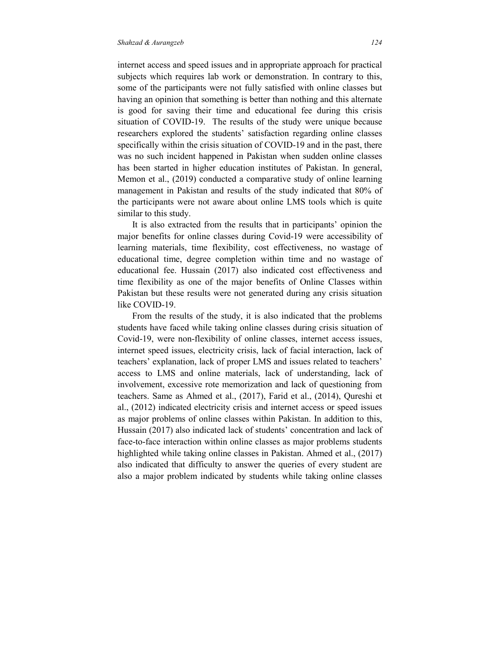internet access and speed issues and in appropriate approach for practical subjects which requires lab work or demonstration. In contrary to this, some of the participants were not fully satisfied with online classes but having an opinion that something is better than nothing and this alternate is good for saving their time and educational fee during this crisis situation of COVID-19. The results of the study were unique because researchers explored the students' satisfaction regarding online classes specifically within the crisis situation of COVID-19 and in the past, there was no such incident happened in Pakistan when sudden online classes has been started in higher education institutes of Pakistan. In general, Memon et al., (2019) conducted a comparative study of online learning management in Pakistan and results of the study indicated that 80% of the participants were not aware about online LMS tools which is quite similar to this study.

It is also extracted from the results that in participants' opinion the major benefits for online classes during Covid-19 were accessibility of learning materials, time flexibility, cost effectiveness, no wastage of educational time, degree completion within time and no wastage of educational fee. Hussain (2017) also indicated cost effectiveness and time flexibility as one of the major benefits of Online Classes within Pakistan but these results were not generated during any crisis situation like COVID-19.

From the results of the study, it is also indicated that the problems students have faced while taking online classes during crisis situation of Covid-19, were non-flexibility of online classes, internet access issues, internet speed issues, electricity crisis, lack of facial interaction, lack of teachers' explanation, lack of proper LMS and issues related to teachers' access to LMS and online materials, lack of understanding, lack of involvement, excessive rote memorization and lack of questioning from teachers. Same as Ahmed et al., (2017), Farid et al., (2014), Qureshi et al., (2012) indicated electricity crisis and internet access or speed issues as major problems of online classes within Pakistan. In addition to this, Hussain (2017) also indicated lack of students' concentration and lack of face-to-face interaction within online classes as major problems students highlighted while taking online classes in Pakistan. Ahmed et al., (2017) also indicated that difficulty to answer the queries of every student are also a major problem indicated by students while taking online classes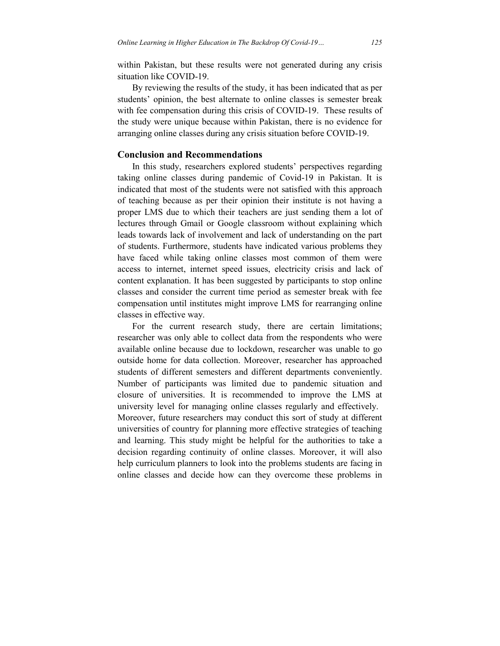within Pakistan, but these results were not generated during any crisis situation like COVID-19.

By reviewing the results of the study, it has been indicated that as per students' opinion, the best alternate to online classes is semester break with fee compensation during this crisis of COVID-19. These results of the study were unique because within Pakistan, there is no evidence for arranging online classes during any crisis situation before COVID-19.

# **Conclusion and Recommendations**

In this study, researchers explored students' perspectives regarding taking online classes during pandemic of Covid-19 in Pakistan. It is indicated that most of the students were not satisfied with this approach of teaching because as per their opinion their institute is not having a proper LMS due to which their teachers are just sending them a lot of lectures through Gmail or Google classroom without explaining which leads towards lack of involvement and lack of understanding on the part of students. Furthermore, students have indicated various problems they have faced while taking online classes most common of them were access to internet, internet speed issues, electricity crisis and lack of content explanation. It has been suggested by participants to stop online classes and consider the current time period as semester break with fee compensation until institutes might improve LMS for rearranging online classes in effective way.

For the current research study, there are certain limitations; researcher was only able to collect data from the respondents who were available online because due to lockdown, researcher was unable to go outside home for data collection. Moreover, researcher has approached students of different semesters and different departments conveniently. Number of participants was limited due to pandemic situation and closure of universities. It is recommended to improve the LMS at university level for managing online classes regularly and effectively. Moreover, future researchers may conduct this sort of study at different universities of country for planning more effective strategies of teaching and learning. This study might be helpful for the authorities to take a decision regarding continuity of online classes. Moreover, it will also help curriculum planners to look into the problems students are facing in online classes and decide how can they overcome these problems in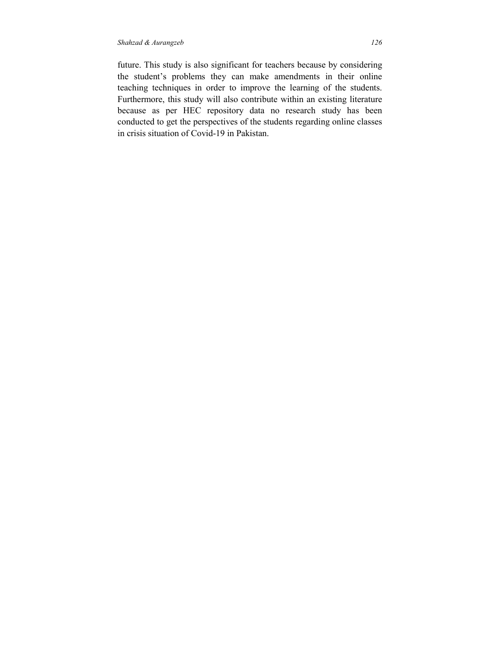future. This study is also significant for teachers because by considering the student's problems they can make amendments in their online teaching techniques in order to improve the learning of the students. Furthermore, this study will also contribute within an existing literature because as per HEC repository data no research study has been conducted to get the perspectives of the students regarding online classes in crisis situation of Covid-19 in Pakistan.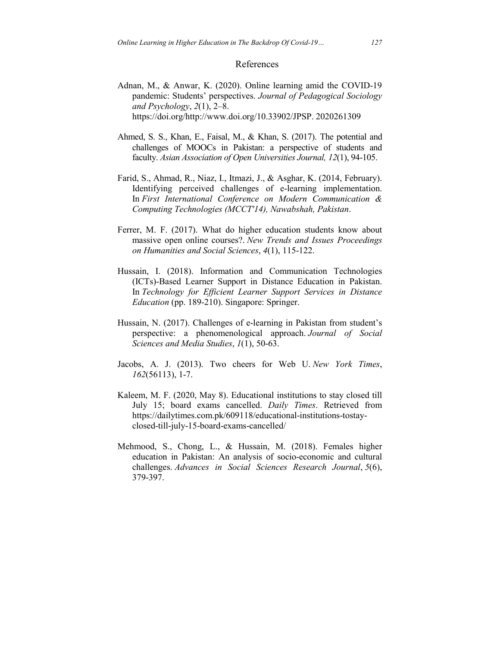#### References

- Adnan, M., & Anwar, K. (2020). Online learning amid the COVID-19 pandemic: Students' perspectives. *Journal of Pedagogical Sociology and Psychology*, *2*(1), 2–8. https://doi.org/http://www.doi.org/10.33902/JPSP. 2020261309
- Ahmed, S. S., Khan, E., Faisal, M., & Khan, S. (2017). The potential and challenges of MOOCs in Pakistan: a perspective of students and faculty. *Asian Association of Open Universities Journal, 12*(1), 94-105.
- Farid, S., Ahmad, R., Niaz, I., Itmazi, J., & Asghar, K. (2014, February). Identifying perceived challenges of e-learning implementation. In *First International Conference on Modern Communication & Computing Technologies (MCCT'14), Nawabshah, Pakistan*.
- Ferrer, M. F. (2017). What do higher education students know about massive open online courses?. *New Trends and Issues Proceedings on Humanities and Social Sciences*, *4*(1), 115-122.
- Hussain, I. (2018). Information and Communication Technologies (ICTs)-Based Learner Support in Distance Education in Pakistan. In *Technology for Efficient Learner Support Services in Distance Education* (pp. 189-210). Singapore: Springer.
- Hussain, N. (2017). Challenges of e-learning in Pakistan from student's perspective: a phenomenological approach. *Journal of Social Sciences and Media Studies*, *1*(1), 50-63.
- Jacobs, A. J. (2013). Two cheers for Web U. *New York Times*, *162*(56113), 1-7.
- Kaleem, M. F. (2020, May 8). Educational institutions to stay closed till July 15; board exams cancelled. *Daily Times*. Retrieved from https://dailytimes.com.pk/609118/educational-institutions-tostayclosed-till-july-15-board-exams-cancelled/
- Mehmood, S., Chong, L., & Hussain, M. (2018). Females higher education in Pakistan: An analysis of socio-economic and cultural challenges. *Advances in Social Sciences Research Journal*, *5*(6), 379-397.